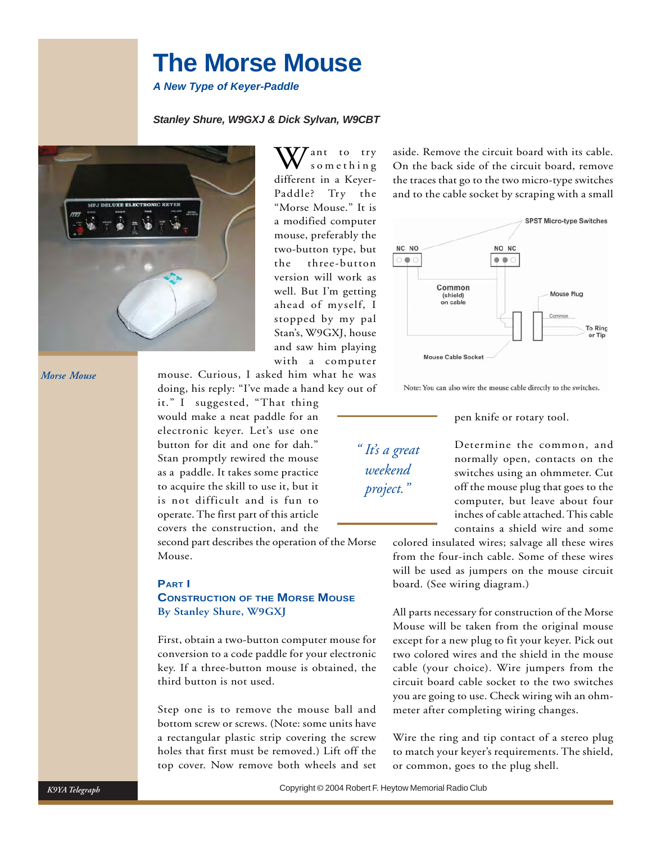# **The Morse Mouse**

*A New Type of Keyer-Paddle*

## *Stanley Shure, W9GXJ & Dick Sylvan, W9CBT*



ant to try something different in a Keyer-Paddle? Try the "Morse Mouse." It is a modified computer mouse, preferably the two-button type, but the three-button version will work as well. But I'm getting ahead of myself, I stopped by my pal Stan's, W9GXJ, house and saw him playing with a computer

mouse. Curious, I asked him what he was doing, his reply: "I've made a hand key out of

it." I suggested, "That thing would make a neat paddle for an electronic keyer. Let's use one button for dit and one for dah." Stan promptly rewired the mouse as a paddle. It takes some practice to acquire the skill to use it, but it is not difficult and is fun to operate. The first part of this article covers the construction, and the

second part describes the operation of the Morse Mouse.

#### **PART I**

## **CONSTRUCTION OF THE MORSE MOUSE By Stanley Shure, W9GXJ**

First, obtain a two-button computer mouse for conversion to a code paddle for your electronic key. If a three-button mouse is obtained, the third button is not used.

Step one is to remove the mouse ball and bottom screw or screws. (Note: some units have a rectangular plastic strip covering the screw holes that first must be removed.) Lift off the top cover. Now remove both wheels and set

aside. Remove the circuit board with its cable. On the back side of the circuit board, remove the traces that go to the two micro-type switches and to the cable socket by scraping with a small



Note: You can also wire the mouse cable directly to the switches.

#### pen knife or rotary tool.

*" It's a great weekend project."*

Determine the common, and normally open, contacts on the switches using an ohmmeter. Cut off the mouse plug that goes to the computer, but leave about four inches of cable attached. This cable contains a shield wire and some

colored insulated wires; salvage all these wires from the four-inch cable. Some of these wires will be used as jumpers on the mouse circuit board. (See wiring diagram.)

All parts necessary for construction of the Morse Mouse will be taken from the original mouse except for a new plug to fit your keyer. Pick out two colored wires and the shield in the mouse cable (your choice). Wire jumpers from the circuit board cable socket to the two switches you are going to use. Check wiring wih an ohmmeter after completing wiring changes.

Wire the ring and tip contact of a stereo plug to match your keyer's requirements. The shield, or common, goes to the plug shell.

*K9YA Telegraph*

*Morse Mouse*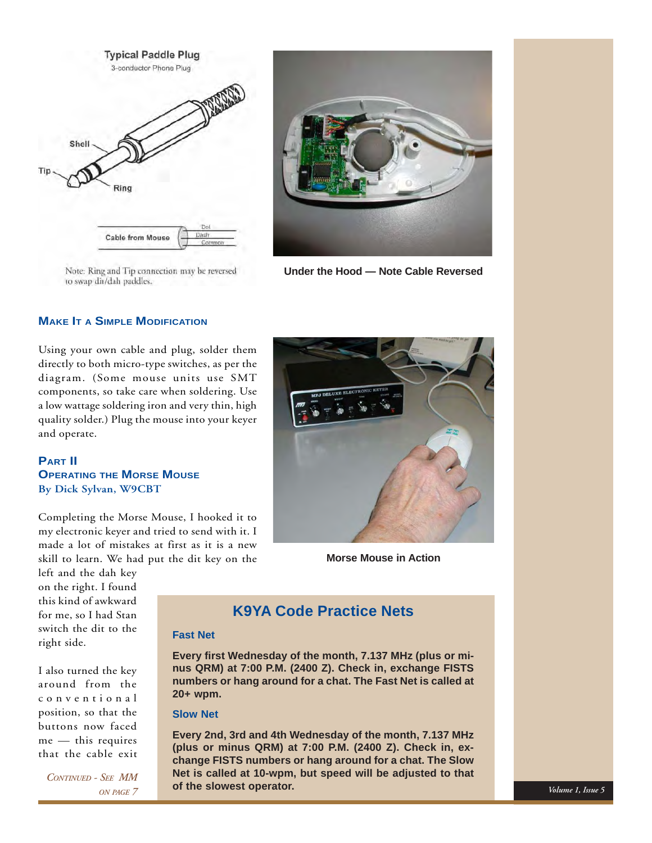



Note: Ring and Tip connection may be reversed to swap dit/dah paddles.

**Under the Hood — Note Cable Reversed**

## **MAKE IT A SIMPLE MODIFICATION**

Using your own cable and plug, solder them directly to both micro-type switches, as per the diagram. (Some mouse units use SMT components, so take care when soldering. Use a low wattage soldering iron and very thin, high quality solder.) Plug the mouse into your keyer and operate.

**PART II OPERATING THE MORSE MOUSE By Dick Sylvan, W9CBT**

Completing the Morse Mouse, I hooked it to my electronic keyer and tried to send with it. I made a lot of mistakes at first as it is a new skill to learn. We had put the dit key on the

left and the dah key on the right. I found this kind of awkward for me, so I had Stan switch the dit to the right side.

I also turned the key around from the conventional position, so that the buttons now faced me — this requires that the cable exit

*CONTINUED - SEE MM ON PAGE 7*



**Morse Mouse in Action**

## **K9YA Code Practice Nets**

## **Fast Net**

Place Artwork Here **numbers or hang around for a chat. The Fast Net is called at Every first Wednesday of the month, 7.137 MHz (plus or minus QRM) at 7:00 P.M. (2400 Z). Check in, exchange FISTS 20+ wpm.**

## **Slow Net**

**Every 2nd, 3rd and 4th Wednesday of the month, 7.137 MHz (plus or minus QRM) at 7:00 P.M. (2400 Z). Check in, exchange FISTS numbers or hang around for a chat. The Slow Net is called at 10-wpm, but speed will be adjusted to that of the slowest operator.**